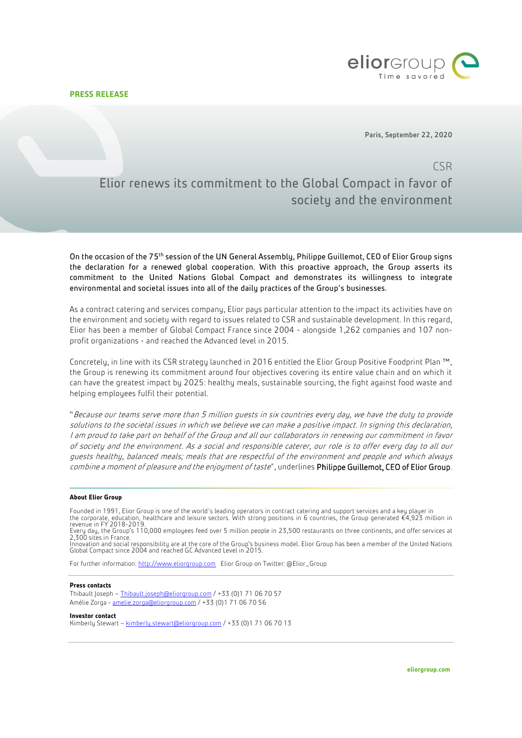**PRESS RELEASE**



Paris, September 22, 2020

## CSR Elior renews its commitment to the Global Compact in favor of society and the environment

On the occasion of the 75th session of the UN General Assembly, Philippe Guillemot, CEO of Elior Group signs the declaration for a renewed global cooperation. With this proactive approach, the Group asserts its commitment to the United Nations Global Compact and demonstrates its willingness to integrate environmental and societal issues into all of the daily practices of the Group's businesses.

As a contract catering and services company, Elior pays particular attention to the impact its activities have on the environment and society with regard to issues related to CSR and sustainable development. In this regard, Elior has been a member of Global Compact France since 2004 - alongside 1,262 companies and 107 nonprofit organizations - and reached the Advanced level in 2015.

Concretely, in line with its CSR strategy launched in 2016 entitled the Elior Group Positive Foodprint Plan ™, the Group is renewing its commitment around four objectives covering its entire value chain and on which it can have the greatest impact by 2025: healthy meals, sustainable sourcing, the fight against food waste and helping employees fulfil their potential.

"Because our teams serve more than 5 million guests in six countries every day, we have the duty to provide solutions to the societal issues in which we believe we can make a positive impact. In signing this declaration, I am proud to take part on behalf of the Group and all our collaborators in renewing our commitment in favor of society and the environment. As a social and responsible caterer, our role is to offer every day to all our guests healthy, balanced meals; meals that are respectful of the environment and people and which always combine a moment of pleasure and the enjoyment of taste", underlines Philippe Guillemot, CEO of Elior Group.

## **About Elior Group**

Founded in 1991, Elior Group is one of the world's leading operators in contract catering and support services and a key player in the corporate, education, healthcare and leisure sectors. With strong positions in 6 countries, the Group generated €4,923 million in<br>revenue in FY 2018-2019.

Every day, the Group's 110,000 employees feed over 5 million people in 23,500 restaurants on three continents, and offer services at 2,300 sites in France. Innovation and social responsibility are at the core of the Group's business model. Elior Group has been a member of the United Nations

Global Compact since 2004 and reached GC Advanced Level in 2015.

For further information: [http://www.eliorgroup.com](http://www.eliorgroup.com/) Elior Group on Twitter: @Elior\_Group

## **Press contacts**

Thibault Joseph – [Thibault.joseph@eliorgroup.com](mailto:Thibault.joseph@eliorgroup.com) / +33 (0)1 71 06 70 57 Amélie Zorga - [amelie.zorga@eliorgroup.com](mailto:amelie.zorga@eliorgroup.com) / +33 (0)1 71 06 70 56

**Investor contact** Kimberly Stewart - [kimberly.stewart@eliorgroup.com](mailto:kimberly.stewart@eliorgroup.com) / +33 (0)1 71 06 70 13